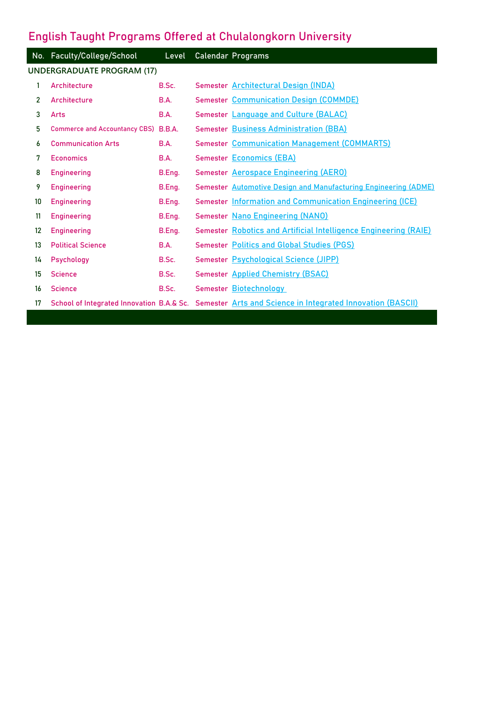## **English Taught Programs Offered at Chulalongkorn University**

|                                   | No. Faculty/College/School           | Level  |  | <b>Calendar Programs</b>                                                                              |  |  |  |
|-----------------------------------|--------------------------------------|--------|--|-------------------------------------------------------------------------------------------------------|--|--|--|
| <b>UNDERGRADUATE PROGRAM (17)</b> |                                      |        |  |                                                                                                       |  |  |  |
| 1                                 | Architecture                         | B.Sc.  |  | Semester Architectural Design (INDA)                                                                  |  |  |  |
| $\mathbf{2}$                      | Architecture                         | B.A.   |  | <b>Semester Communication Design (COMMDE)</b>                                                         |  |  |  |
| 3                                 | Arts                                 | B.A.   |  | Semester Language and Culture (BALAC)                                                                 |  |  |  |
| 5                                 | <b>Commerce and Accountancy CBS)</b> | B.B.A. |  | <b>Semester Business Administration (BBA)</b>                                                         |  |  |  |
| 6                                 | <b>Communication Arts</b>            | B.A.   |  | <b>Semester Communication Management (COMMARTS)</b>                                                   |  |  |  |
| 7                                 | <b>Economics</b>                     | B.A.   |  | <b>Semester Economics (EBA)</b>                                                                       |  |  |  |
| 8                                 | <b>Engineering</b>                   | B.Eng. |  | <b>Semester Aerospace Engineering (AERO)</b>                                                          |  |  |  |
| 9                                 | <b>Engineering</b>                   | B.Eng. |  | Semester Automotive Design and Manufacturing Engineering (ADME)                                       |  |  |  |
| 10                                | <b>Engineering</b>                   | B.Eng. |  | Semester Information and Communication Engineering (ICE)                                              |  |  |  |
| 11                                | <b>Engineering</b>                   | B.Eng. |  | Semester Nano Engineering (NANO)                                                                      |  |  |  |
| 12                                | <b>Engineering</b>                   | B.Eng. |  | Semester Robotics and Artificial Intelligence Engineering (RAIE)                                      |  |  |  |
| 13                                | <b>Political Science</b>             | B.A.   |  | <b>Semester Politics and Global Studies (PGS)</b>                                                     |  |  |  |
| 14                                | Psychology                           | B.Sc.  |  | Semester Psychological Science (JIPP)                                                                 |  |  |  |
| 15                                | <b>Science</b>                       | B.Sc.  |  | <b>Semester Applied Chemistry (BSAC)</b>                                                              |  |  |  |
| 16                                | <b>Science</b>                       | B.Sc.  |  | Semester Biotechnology                                                                                |  |  |  |
| 17                                |                                      |        |  | School of Integrated Innovation B.A.& Sc. Semester Arts and Science in Integrated Innovation (BASCII) |  |  |  |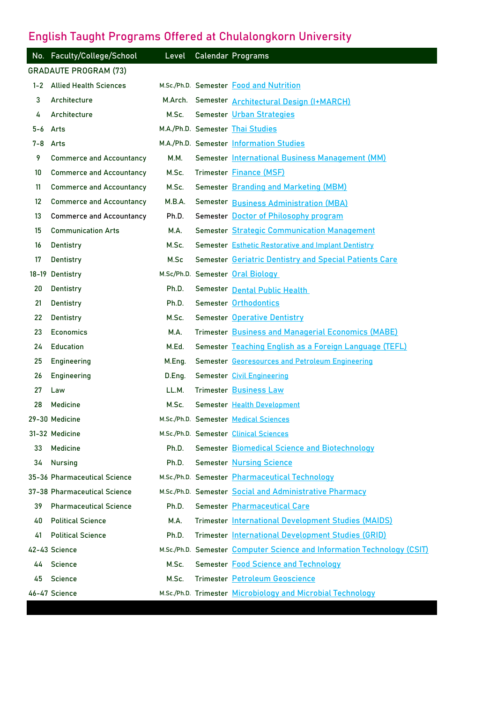## **English Taught Programs Offered at Chulalongkorn University**

|                   | No. Faculty/College/School      | Level       | <b>Calendar Programs</b>                                                |
|-------------------|---------------------------------|-------------|-------------------------------------------------------------------------|
|                   | <b>GRADAUTE PROGRAM (73)</b>    |             |                                                                         |
|                   | 1-2 Allied Health Sciences      |             | M.Sc./Ph.D. Semester Food and Nutrition                                 |
| 3                 | Architecture                    |             | M.Arch. Semester <b>Architectural Design (I+MARCH)</b>                  |
| 4                 | Architecture                    | M.Sc.       | Semester Urban Strategies                                               |
| 5-6 Arts          |                                 |             | M.A./Ph.D. Semester Thai Studies                                        |
| $7 - 8$           | Arts                            |             | M.A./Ph.D. Semester Information Studies                                 |
| 9                 | <b>Commerce and Accountancy</b> | <b>M.M.</b> | Semester International Business Management (MM)                         |
| 10                | <b>Commerce and Accountancy</b> | M.Sc.       | Trimester Finance (MSF)                                                 |
| 11                | <b>Commerce and Accountancy</b> | M.Sc.       | Semester Branding and Marketing (MBM)                                   |
| $12 \overline{ }$ | <b>Commerce and Accountancy</b> | M.B.A.      | Semester Business Administration (MBA)                                  |
| 13                | <b>Commerce and Accountancy</b> | Ph.D.       | Semester Doctor of Philosophy program                                   |
| 15                | <b>Communication Arts</b>       | M.A.        | <b>Semester Strategic Communication Management</b>                      |
| 16                | Dentistry                       | M.Sc.       | <b>Semester Esthetic Restorative and Implant Dentistry</b>              |
| 17                | Dentistry                       | M.Sc        | Semester Geriatric Dentistry and Special Patients Care                  |
|                   | 18-19 Dentistry                 |             | M.Sc/Ph.D. Semester Oral Biology                                        |
| 20                | Dentistry                       | Ph.D.       | Semester Dental Public Health                                           |
| 21                | Dentistry                       | Ph.D.       | Semester Orthodontics                                                   |
| 22                | Dentistry                       | M.Sc.       | <b>Semester Operative Dentistry</b>                                     |
| 23                | <b>Economics</b>                | M.A.        | Trimester Business and Managerial Economics (MABE)                      |
| 24                | <b>Education</b>                | M.Ed.       | Semester Teaching English as a Foreign Language (TEFL)                  |
| 25                | <b>Engineering</b>              | M.Eng.      | Semester Georesources and Petroleum Engineering                         |
| 26                | Engineering                     | D.Eng.      | Semester Civil Engineering                                              |
| 27                | Law                             | LL.M.       | <b>Trimester Business Law</b>                                           |
| 28                | Medicine                        | M.Sc.       | Semester Health Development                                             |
|                   | 29-30 Medicine                  |             | M.Sc./Ph.D. Semester Medical Sciences                                   |
|                   | 31-32 Medicine                  |             | M.Sc./Ph.D. Semester Clinical Sciences                                  |
| 33                | Medicine                        | Ph.D.       | <b>Semester Biomedical Science and Biotechnology</b>                    |
| 34                | <b>Nursing</b>                  | Ph.D.       | <b>Semester Nursing Science</b>                                         |
|                   | 35-36 Pharmaceutical Science    |             | M.Sc./Ph.D. Semester Pharmaceutical Technology                          |
|                   | 37-38 Pharmaceutical Science    |             | M.Sc./Ph.D. Semester Social and Administrative Pharmacy                 |
| 39                | <b>Pharmaceutical Science</b>   | Ph.D.       | Semester Pharmaceutical Care                                            |
| 40                | <b>Political Science</b>        | M.A.        | Trimester International Development Studies (MAIDS)                     |
| 41                | <b>Political Science</b>        | Ph.D.       | Trimester International Development Studies (GRID)                      |
|                   | 42-43 Science                   |             | M.Sc./Ph.D. Semester Computer Science and Information Technology (CSIT) |
| 44                | Science                         | M.Sc.       | Semester Food Science and Technology                                    |
| 45                | Science                         | M.Sc.       | Trimester Petroleum Geoscience                                          |
|                   | 46-47 Science                   |             | M.Sc./Ph.D. Trimester Microbiology and Microbial Technology             |